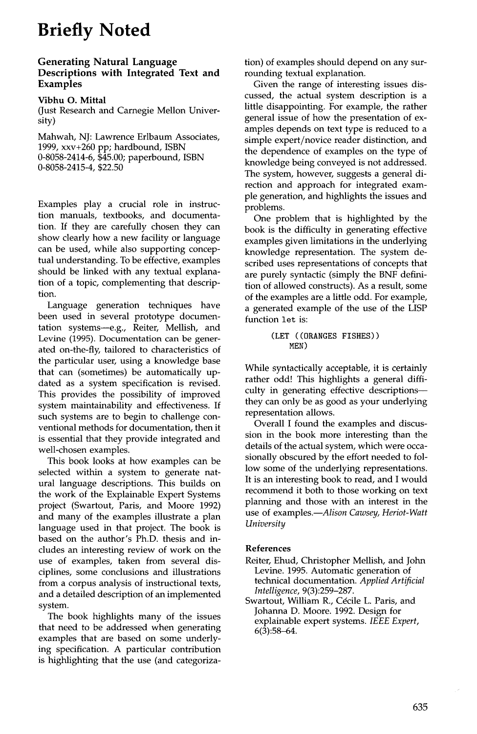# **Briefly Noted**

# **Generating Natural Language Descriptions with Integrated Text and Examples**

**Vibhu O. Mittal** 

(Just Research and Carnegie Mellon University)

Mahwah, NJ: Lawrence Erlbaum Associates, 1999, xxv+260 pp; hardbound, ISBN 0-8058-2414-6, \$45.00; paperbound, ISBN 0-8058-2415-4, \$22.50

Examples play a crucial role in instruction manuals, textbooks, and documentation. If they are carefully chosen they can show clearly how a new facility or language can be used, while also supporting conceptual understanding. To be effective, examples should be linked with any textual explanation of a topic, complementing that description.

Language generation techniques have been used in several prototype documentation systems--e.g., Reiter, Mellish, and Levine (1995). Documentation can be **generated** on-the-fly, tailored to characteristics of the particular user, using a knowledge base that can (sometimes) be automatically updated as a system specification is revised. This provides the possibility of improved system maintainability and effectiveness. If such systems are to begin to challenge conventional methods for documentation, then it is essential that they provide integrated and well-chosen examples.

This book looks at how examples can be selected within a system to generate natural language descriptions. This builds on the work of the Explainable Expert Systems project (Swartout, Paris, and Moore 1992) and many of the examples illustrate a plan language used in that project. The book is based on the author's Ph.D. thesis and includes an interesting review of work on the use of examples, taken from several disciplines, some conclusions and illustrations from a corpus analysis of instructional texts, and a detailed description of an implemented system.

The book highlights many of the issues that need to be addressed when generating examples that are based on some underlying specification. A particular contribution is highlighting that the use (and categorization) of examples should depend on any surrounding textual explanation.

Given the range of interesting issues discussed, the actual system description is a little disappointing. For example, the rather **general** issue of how the presentation of examples depends on text type is reduced to a simple expert/novice reader distinction, and the dependence of examples on the type of knowledge being conveyed is not addressed. The system, however, suggests a general direction and approach for integrated example generation, and highlights the issues and problems.

One problem that is highlighted by the book is the difficulty in generating effective examples given limitations in the underlying knowledge representation. The system described uses representations of concepts that **are** purely syntactic (simply the BNF definition of allowed constructs). As a result, some of the examples are a little odd. For example, a generated example of the use of the LISP function let **is:** 

#### **(LET ((ORANGES FISHES)) MEN)**

While syntactically acceptable, it is certainly rather odd! This highlights a general difficulty in generating effective descriptionsthey can only be as good as your underlying representation allows.

Overall I found the examples and discussion in the book more interesting than the details of the actual system, which were occasionally obscured by the effort needed to follow some of the underlying representations. It is an interesting book to read, and I would recommend it both to those working on text planning and those with an interest in the use of *examples.--Alison Cawsey, Heriot-Watt University* 

# **References**

- Reiter, Ehud, Christopher Mellish, and John Levine. 1995. Automatic generation of technical documentation. *Applied Artificial Intelligence,* 9(3):259-287.
- Swartout, William R., Cécile L. Paris, and Johanna D. Moore. 1992. Design for explainable expert systems. *IEEE Expert,*   $6(3):58-64.$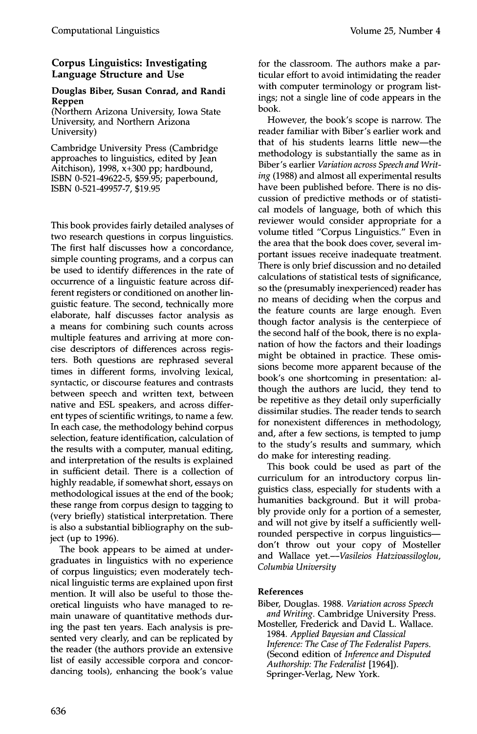# **Corpus Linguistics: Investigating Language Structure and Use**

# **Douglas Biber, Susan Conrad, and Randi Reppen**

(Northern Arizona University, Iowa State University, and Northern Arizona University)

Cambridge University Press (Cambridge approaches to linguistics, edited by Jean Aitchison), 1998,  $\bar{x}$ +300 pp; hardbound, ISBN 0-521-49622-5, \$59.95; paperbound, ISBN 0-521-49957-7, \$19.95

This book provides fairly detailed analyses of two research questions in corpus linguistics. The first half discusses how a concordance, simple counting programs, and a corpus can be used to identify differences in the rate of occurrence of a linguistic feature across different registers or conditioned on another linguistic feature. The second, technically more elaborate, half discusses factor analysis as a means for combining such counts across multiple features and arriving at more concise descriptors of differences across registers. Both questions are rephrased several times in different forms, involving lexical, syntactic, or discourse features and contrasts between speech and written text, between native and ESL speakers, and across different types of scientific writings, to name a few. In each case, the methodology behind corpus selection, feature identification, calculation of the results with a computer, manual editing, and interpretation of the results is explained in sufficient detail. There is a collection of highly readable, if somewhat short, essays on methodological issues at the end of the book; these range from corpus design to tagging to (very briefly) statistical interpretation. There is also a substantial bibliography on the subject (up to 1996).

The book appears to be aimed at undergraduates in linguistics with no experience of corpus linguistics; even moderately technical linguistic terms are explained upon first mention. It will also be useful to those theoretical linguists who have managed to remain unaware of quantitative methods during the past ten years. Each analysis is presented very clearly, and can be replicated by the reader (the authors provide an extensive list of easily accessible corpora and concordancing tools), enhancing the book's value for the classroom. The authors make a particular effort to avoid intimidating the reader with computer terminology or program listings; not a single line of code appears in the book.

However, the book's scope is narrow. The reader familiar with Biber's earlier work and that of his students learns little new--the methodology is substantially the same as in Biber's earlier *Variation across Speech and Writing* (1988) and almost all experimental results have been published before. There is no discussion of predictive methods or of statistical models of language, both of which this reviewer would consider appropriate for a volume titled "Corpus Linguistics." Even in the area that the book does cover, several important issues receive inadequate treatment. There is only brief discussion and no detailed calculations of statistical tests of significance, so the (presumably inexperienced) reader has no means of deciding when the corpus and the feature counts are large enough. Even though factor analysis is the centerpiece of the second half of the book, there is no explanation of how the factors and their loadings might be obtained in practice. These omissions become more apparent because of the book's one shortcoming in presentation: although the authors are lucid, they tend to be repetitive as they detail only superficially dissimilar studies. The reader tends to search for nonexistent differences in methodology, and, after a few sections, is tempted to jump to the study's results and summary, which do make for interesting reading.

This book could be used as part of the curriculum for an introductory corpus linguistics class, especially for students with a humanities background. But it will probably provide only for a portion of a semester, and will not give by itself a sufficiently wellrounded perspective in corpus linguisticsdon't throw out your copy of Mosteller and Wallace *yet.--Vasileios Hatzivassiloglou, Columbia University* 

# **References**

- Biber, Douglas. 1988. *Variation across Speech and Writing.* Cambridge University Press.
- Mosteller, Frederick and David L. Wallace. 1984. *Applied Bayesian and Classical Inference: The Case of The Federalist Papers.*  (Second edition of *Inference and Disputed Authorship: The Federalist* [1964]). Springer-Verlag, New York.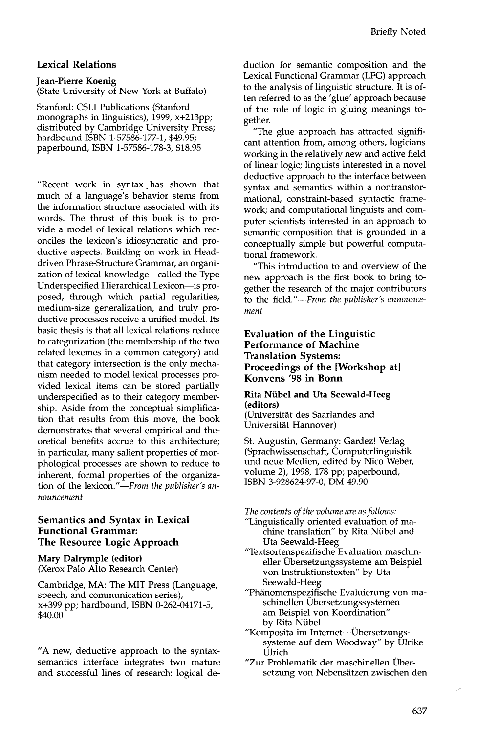# **Lexical Relations**

#### **Jean-Pierre Koenig**

(State University of New York at Buffalo)

Stanford: CSLI Publications (Stanford monographs in linguistics), 1999, x+213pp; distributed by Cambridge University Press; hardbound ISBN 1-57586-177-1, \$49.95; paperbound, ISBN 1-57586-178-3, \$18.95

"Recent work in syntax .has shown that much of a language's behavior stems from the information structure associated with its words. The thrust of this book is to provide a model of lexical relations which reconciles the lexicon's idiosyncratic and productive aspects. Building on work in Headdriven Phrase-Structure Grammar, an organization of lexical knowledge-called the Type Underspecified Hierarchical Lexicon--is proposed, through which partial regularities, medium-size generalization, and truly productive processes receive a unified model. Its basic thesis is that all lexical relations reduce to categorization (the membership of the two related lexemes in a common category) and that category intersection is the only mechanism needed to model lexical processes provided lexical items can be stored partially underspecified as to their category membership. Aside from the conceptual simplification that results from this move, the book demonstrates that several empirical and theoretical benefits accrue to this architecture; in particular, many salient properties of morphological processes are shown to reduce to inherent, formal properties of the organization of the lexicon."-From the publisher's an*nouncement* 

## **Semantics and Syntax in Lexical Functional Grammar: The Resource Logic Approach**

**Mary Dalrymple (editor)**  (Xerox Palo Alto Research Center)

Cambridge, MA: The MIT Press (Language, speech, and communication series), x+399 pp; hardbound, ISBN 0-262-04171-5, \$40.00

"A new, deductive approach to the syntaxsemantics interface integrates two mature and successful lines of research: logical deduction for semantic composition and the Lexical Functional Grammar (LFG) approach to the analysis of linguistic structure. It is often referred to as the 'glue' approach because of the role of logic in gluing meanings together.

"The glue approach has attracted significant attention from, among others, logicians working in the relatively new and active field of linear logic; linguists interested in a novel deductive approach to the interface between syntax and semantics within a nontransformational, constraint-based syntactic framework; and computational linguists and computer scientists interested in an approach to semantic composition that is grounded in a conceptually simple but powerful computational framework.

"This introduction to and overview of the new approach is the first book to bring together the research of the major contributors to the *field.'--From the publisher's announcement* 

# **Evaluation of the Linguistic Performance of Machine Translation Systems: Proceedings of the [Workshop at] Konvens '98 in Bonn**

**Rita Niibel and Uta Seewald-Heeg (editors)** 

(Universitat des Saarlandes and Universität Hannover)

St. Augustin, Germany: Gardez! Verlag (Sprachwissenschaft, Computerlinguistik und neue Medien, edited by Nico Weber, volume 2), 1998, 178 pp; paperbound, ISBN 3-928624-97-0, DM 49.90

*The contents of the volume are as follows:* 

- "Linguistically oriented evaluation of machine translation" by Rita Nübel and Uta Seewald-Heeg
- "Textsortenspezifische Evaluation maschineller Ubersetzungssysteme am Beispiel von Instruktionstexten" by Uta Seewald-Heeg
- "Phänomenspezifische Evaluierung von maschinellen Ubersetzungssystemen am Beispiel von Koordination" by Rita Nübel
- "Komposita im Internet--- Übersetzungssysteme auf dem Woodway" by Ulrike Ulrich
- "Zur Problematik der maschinellen Übersetzung von Nebensätzen zwischen den